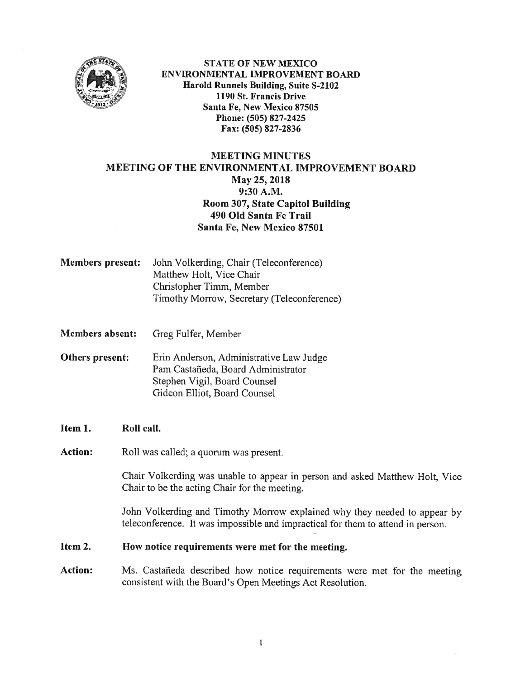

STATE Of NEW MEXICO ENVIRONMENTAL IMPROVEMENT BOARD : Harold Runnets Building, Suite S-2102 1190 St. Francis Drive Santa Fe, New Mexico 87505 Phone: (505) 827-2425 Fax: (505) 827-2836

# MEETING MINUTES MEETING OF THE ENVIRONMENTAL IMPROVEMENT BOARD May 25, 2018 9:30 A.M. Room 307, State Capitol Building 490 Old Santa Fe Trail Santa Fe, New Mexico 87501

Members present: John Volkerding, Chair (Teleconference) Matthew Holt, Vice Chair Christopher Timm, Member Timothy Morrow, Secretary (Teleconference)

Members absent: Greg Fulfer, Member

Others present: Erin Anderson, Administrative Law Judge Pam Castañeda, Board Administrator Stephen Vigil, Board Counsel Gideon Elliot, Board Counsel

Item 1. Roll call.

Action: Roll was called; a quorum was present.

Chair Volkerding was unable to appear in person and asked Matthew Holt, Vice Chair to be the acting Chair for the meeting.

John Volkerding and Timothy Morrow explained why they needed to appear by teleconference. It was impossible and impractical for them to attend in person.

#### Item 2. How notice requirements were met for the meeting.

Action: Ms. Castañeda described how notice requirements were met for the meeting consistent with the Board's Open Meetings Act Resolution.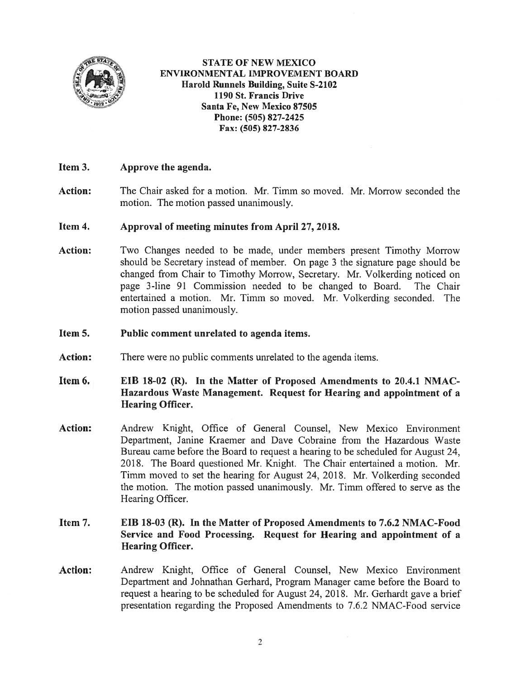

STATE Of NEW MEXICO ENVIRONMENTAL IMPROVEMENT BOARD Harold Runnels Building, Suite S-2102 1190 St. Francis Drive Santa Fe, New Mexico 87505 Phone: (505) 827-2425 Fax: (505) 827-2836

### Item 3. Approve the agenda.

Action: The Chair asked for <sup>a</sup> motion. Mr. Tirnm so moved. Mr. Morrow seconded the motion. The motion passed unanimously.

#### Item 4. Approval of meeting minutes from April 27, 2018.

Action: Two Changes needed to be made, under members present Timothy Morrow should be Secretary instead of member. On page <sup>3</sup> the signature page should be changed from Chair to Timothy Morrow, Secretary. Mr. Volkerding noticed on page 3-line 91 Commission needed to be changed to Board. The Chair entertained <sup>a</sup> motion. Mr. Timm so moved. Mr. Volkerding seconded. The motion passed unanimously.

#### Item 5. Public comment unrelated to agenda items.

Action: There were no public comments unrelated to the agenda items.

### Item 6.  $EIB$  18-02 (R). In the Matter of Proposed Amendments to 20.4.1 NMAC-Hazardous Waste Management. Request for Hearing and appointment of <sup>a</sup> Hearing Officer.

Action: Andrew Knight, Office of General Counsel, New Mexico Environment Department, Janine Kraemer and Dave Cobraine from the Hazardous Waste Bureau came before the Board to reques<sup>t</sup> <sup>a</sup> hearing to be scheduled for August 24, 2018. The Board questioned Mr. Knight. The Chair entertained <sup>a</sup> motion. Mr. Timm moved to set the hearing for August 24, 2018. Mr. Volkerding seconded the motion. The motion passed unanimously. Mr. Timrn offered to serve as the Hearing Officer.

## Item 7. EIB 18-03 (R). In the Matter of Proposed Amendments to 7.6.2 NMAC-Food Service and Food Processing. Request for Hearing and appointment of <sup>a</sup> Hearing Officer.

Action: Andrew Knight, Office of General Counsel. New Mexico Environment Department and Johnathan Gerhard, Program Manager came before the Board to reques<sup>t</sup> <sup>a</sup> hearing to be scheduled for August 24, 2018. Mr. Gerhardt gave <sup>a</sup> brief presentation regarding the Proposed Amendments to 7.6.2 NMAC-Food service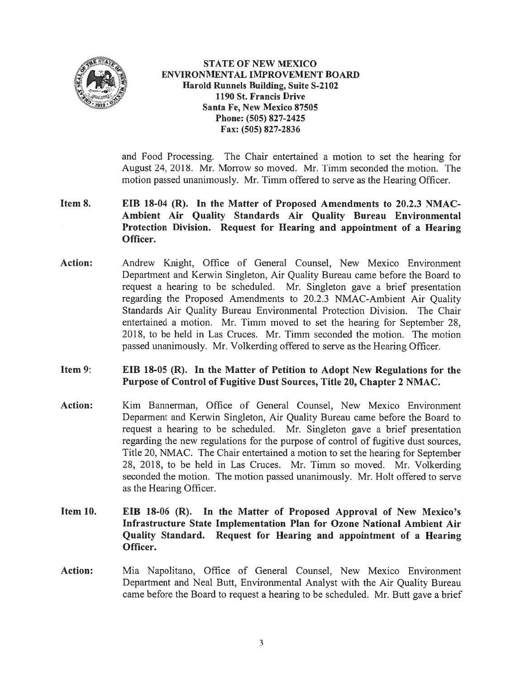

STATE OF NEW MEXICO ENVIRONMENTAL IMPROVEMENT BOARD Harold Runnels Building, Suite S-2102 1190 St. Francis Drive Santa Fe, New Mexico \$7505 Phone: (505) 827-2425 Fax: (505) 827-2836

and Food Processing. The Chair entertained <sup>a</sup> motion to set the hearing for August 24, 2018. Mr. Morrow so moved. Mr. Timm seconded the motion. The motion passed unanimously. Mr. Timm offered to serve as the Hearing Officer.

- Item 8. EIB 18-04 (R). In the Matter of Proposed Amendments to 20.2.3 NMAC-Ambient Air Quality Standards Air Quality Bureau Environmental Protection Division. Request for Hearing and appointment of <sup>a</sup> Hearing Officer.
- Action: Andrew Knight, Office of General Counsel, New Mexico Environment Department and Kerwin Singleton, Air Quality Bureau came before the Board to reques<sup>t</sup> <sup>a</sup> hearing to be scheduled. Mr. Singleton gave <sup>a</sup> brief presentation regarding the Proposed Amendments to 20.2.3 NMAC-Ambient Air Quality Standards Air Quality Bureau Environmental Protection Division. The Chair entertained <sup>a</sup> motion. Mr. Timm moved to set the hearing for September 28, 2018, to be held in Las Crnces. Mr. Timm seconded the motion. The motion passed unanimously. Mr. Volkerding offered to serve as the Hearing Officer.
- Item 9: EIB 18-05 (R). In the Matter of Petition to Adopt New Regulations for the Purpose of Control of fugitive Dust Sources, Title 20, Chapter 2 NMAC.
- Action: Kim Bannerman, Office of General Counsel, New Mexico Environment Deparment and Kerwin Singleton, Air Quality Bureau came before the Board to reques<sup>t</sup> <sup>a</sup> hearing to be scheduled. Mr. Singleton gave <sup>a</sup> brief presentation regarding the new regulations for the purpose of control of fugitive dust sources, Title 20, NMAC. The Chair entertained <sup>a</sup> motion to set the hearing for September 28, 2018, to be held in Las Cruces. Mr. Timm so moved. Mr. Volkerding seconded the motion. The motion passed unanimously. Mr. Holt offered to serve as the Hearing Officer.
- Item 10. EIB 18-06 (R). In the Matter of Proposed Approval of New Mexico's Infrastructure State Implementation Plan for Ozone National Ambient Air Quality Standard. Request for Hearing and appointment of <sup>a</sup> Hearing Officer.
- Action: Mia Napolitano, Office of General Counsel, New Mexico Environment Department and Neal Butt, Environmental Analyst with the Air Quality Bureau came before the Board to reques<sup>t</sup> <sup>a</sup> hearing to be scheduled. Mr. Butt gave <sup>a</sup> brief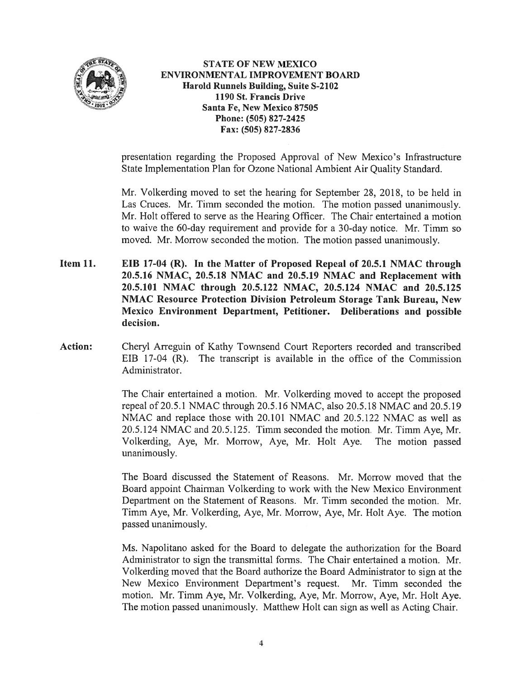

STATE OF NEW MEXICO ENVIRONMENTAL IMPROVEMENT BOARD Harold Runnels Building, Suite S-2102 1190 St. Francis Drive Santa Fe, New Mexico 87505 Phone: (505) 827-2425 Fax: (505) 827-2836

presentation regarding the Proposed Approval of New Mexico's Infrastructure State Implementation Plan for Ozone National Ambient Air Quality Standard.

Mr. Volkerding moved to set the hearing for September 2\$, 201\$, to be held in Las Cruces. Mr. Timm seconded the motion. The motion passed unanimously. Mr. Holt offered to serve as the Hearing Officer. The Chair entertained <sup>a</sup> motion to waive the 60-day requirement and provide for a 30-day notice. Mr. Timm so moved. Mr. Morrow seconded the motion. The motion passed unanimously.

- Item 11. **EIB 17-04 (R).** In the Matter of Proposed Repeal of 20.5.1 NMAC through 20.5.16 NMAC, 20.5.18 NMAC and 20.5.19 NMAC and Replacement with 20.5.101 NMAC through 20.5.122 NMAC, 20.5.124 NMAC and 20.5.125 NMAC Resource Protection Division Petroleum Storage Tank Bureau, New Mexico Environment Department, Petitioner. Deliberations and possible decision.
- Action: Cheryl Arreguin of Kathy Townsend Court Reporters recorded and transcribed EIB 17-04 (R). The transcript is available in the office of the Commission Administrator.

The Chair entertained <sup>a</sup> motion. Mr. Volkerding moved to accep<sup>t</sup> the proposed repeal of 20.5.1 NMAC through 20.5.16 NMAC, also 20.5.18 NMAC and 20.5.19 NMAC and replace those with 20.101 NMAC and 20.5.122 NMAC as well as 20.5.124 NMAC and 20.5.125. Tirnm seconded the motion. Mr. Timm Aye, Mr. Volkerding, Aye, Mr. Morrow, Aye, Mr. Holt Aye. The motion passed unanimously.

The Board discussed the Statement of Reasons. Mr. Morrow moved that the Board appoint Chairman Volkerding to work with the New Mexico Environment Department on the Statement of Reasons. Mr. Timm seconded the motion. Mr. Tirnm Aye, Mr. Volkerding, Aye, Mr. Morrow, Aye, Mr. Holt Aye. The motion passed unanimously.

Ms. Napolitano asked for the Board to delegate the authorization for the Board Administrator to sign the transmittal forms. The Chair entertained <sup>a</sup> motion. Mr. Volkerding moved that the Board authorize the Board Administrator to sign at the New Mexico Environment Department's request. Mr. Timm seconded the motion. Mr. Timm Aye, Mr. Volkerding. Aye, Mr. Morrow, Aye, Mr. Holt Aye. The motion passed unanimously. Matthew Holt can sign as well as Acting Chair.